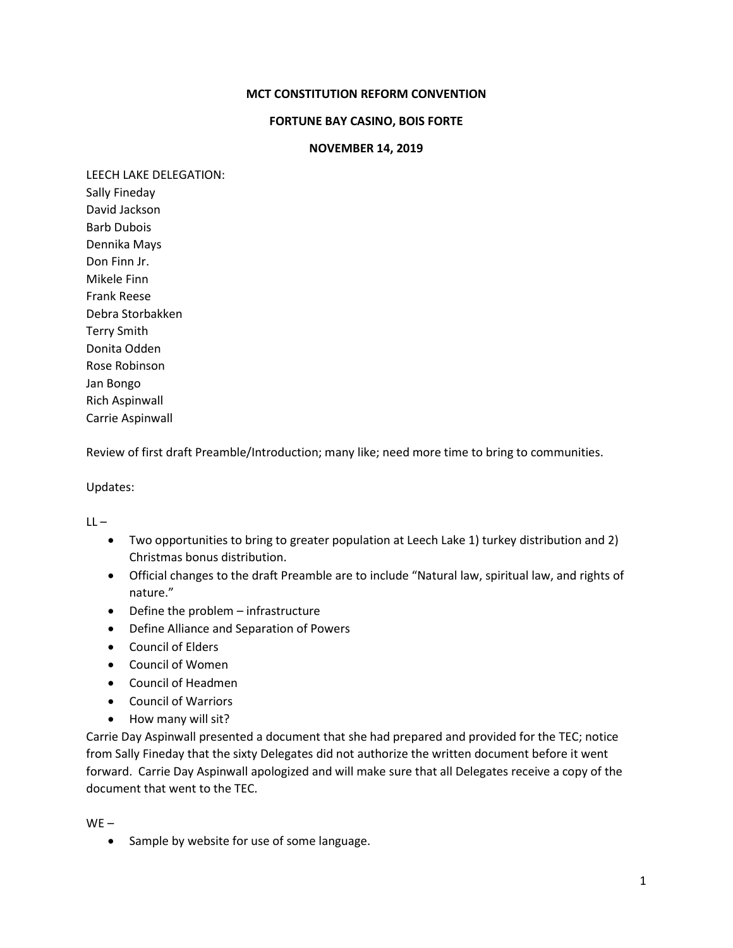## **MCT CONSTITUTION REFORM CONVENTION**

## **FORTUNE BAY CASINO, BOIS FORTE**

## **NOVEMBER 14, 2019**

LEECH LAKE DELEGATION: Sally Fineday David Jackson

Barb Dubois Dennika Mays Don Finn Jr. Mikele Finn Frank Reese Debra Storbakken Terry Smith Donita Odden Rose Robinson Jan Bongo Rich Aspinwall Carrie Aspinwall

Review of first draft Preamble/Introduction; many like; need more time to bring to communities.

Updates:

 $LL -$ 

- Two opportunities to bring to greater population at Leech Lake 1) turkey distribution and 2) Christmas bonus distribution.
- Official changes to the draft Preamble are to include "Natural law, spiritual law, and rights of nature."
- Define the problem infrastructure
- Define Alliance and Separation of Powers
- Council of Elders
- Council of Women
- Council of Headmen
- Council of Warriors
- How many will sit?

Carrie Day Aspinwall presented a document that she had prepared and provided for the TEC; notice from Sally Fineday that the sixty Delegates did not authorize the written document before it went forward. Carrie Day Aspinwall apologized and will make sure that all Delegates receive a copy of the document that went to the TEC.

WE –

• Sample by website for use of some language.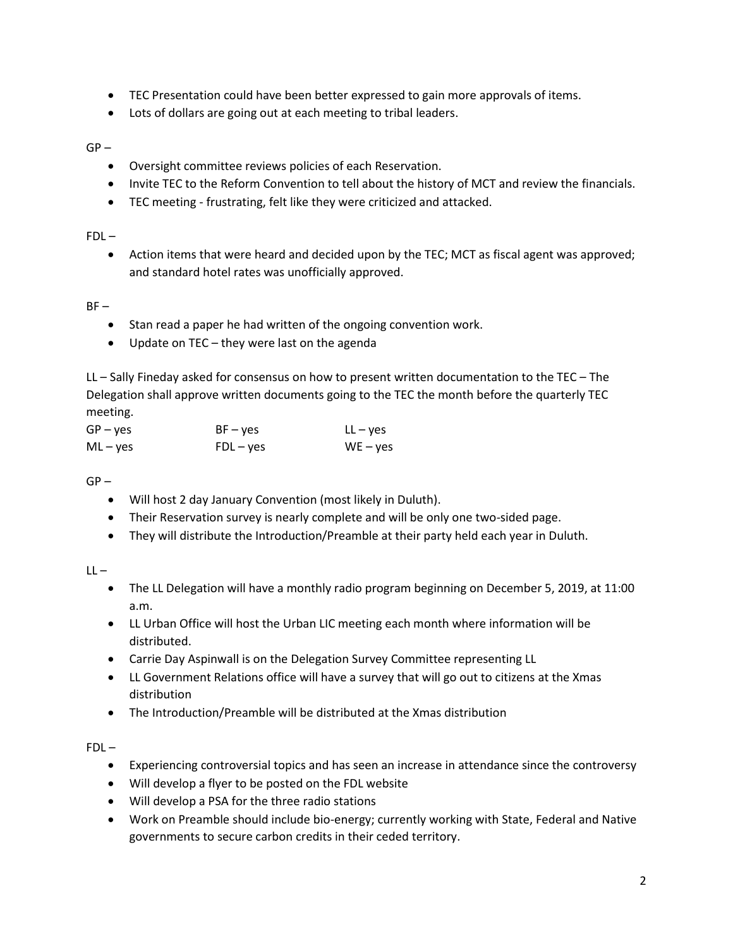- TEC Presentation could have been better expressed to gain more approvals of items.
- Lots of dollars are going out at each meeting to tribal leaders.

 $GP -$ 

- Oversight committee reviews policies of each Reservation.
- Invite TEC to the Reform Convention to tell about the history of MCT and review the financials.
- TEC meeting frustrating, felt like they were criticized and attacked.

 $FDL -$ 

 Action items that were heard and decided upon by the TEC; MCT as fiscal agent was approved; and standard hotel rates was unofficially approved.

 $BF -$ 

- Stan read a paper he had written of the ongoing convention work.
- Update on TEC they were last on the agenda

LL – Sally Fineday asked for consensus on how to present written documentation to the TEC – The Delegation shall approve written documents going to the TEC the month before the quarterly TEC meeting.

| GP – yes | $BF - yes$  | $LL - yes$ |
|----------|-------------|------------|
| ML – yes | $FDL - yes$ | $WE - yes$ |

 $GP -$ 

- Will host 2 day January Convention (most likely in Duluth).
- Their Reservation survey is nearly complete and will be only one two-sided page.
- They will distribute the Introduction/Preamble at their party held each year in Duluth.

 $LL -$ 

- The LL Delegation will have a monthly radio program beginning on December 5, 2019, at 11:00 a.m.
- LL Urban Office will host the Urban LIC meeting each month where information will be distributed.
- Carrie Day Aspinwall is on the Delegation Survey Committee representing LL
- LL Government Relations office will have a survey that will go out to citizens at the Xmas distribution
- The Introduction/Preamble will be distributed at the Xmas distribution

 $FDI -$ 

- Experiencing controversial topics and has seen an increase in attendance since the controversy
- Will develop a flyer to be posted on the FDL website
- Will develop a PSA for the three radio stations
- Work on Preamble should include bio-energy; currently working with State, Federal and Native governments to secure carbon credits in their ceded territory.